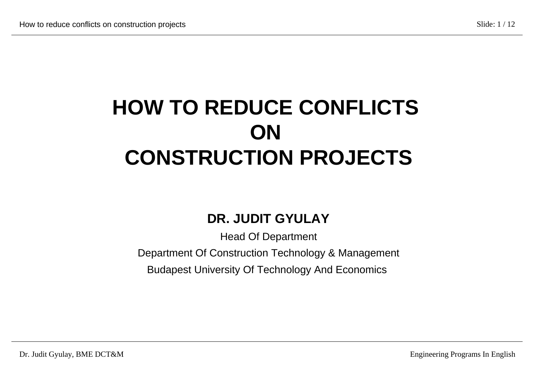## **HOW TO REDUCE CONFLICTS ON CONSTRUCTION PROJECTS**

#### **DR. JUDIT GYULAY**

Head Of Department

Department Of Construction Technology & Management

Budapest University Of Technology And Economics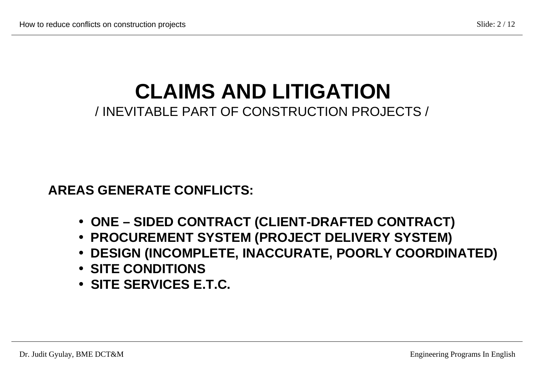### **CLAIMS AND LITIGATION** / INEVITABLE PART OF CONSTRUCTION PROJECTS /

 **AREAS GENERATE CONFLICTS:**

- • **ONE SIDED CONTRACT (CLIENT-DRAFTED CONTRACT)**
- • **PROCUREMENT SYSTEM (PROJECT DELIVERY SYSTEM)**
- • **DESIGN (INCOMPLETE, INACCURATE, POORLY COORDINATED)**
- • **SITE CONDITIONS**
- • **SITE SERVICES E.T.C.**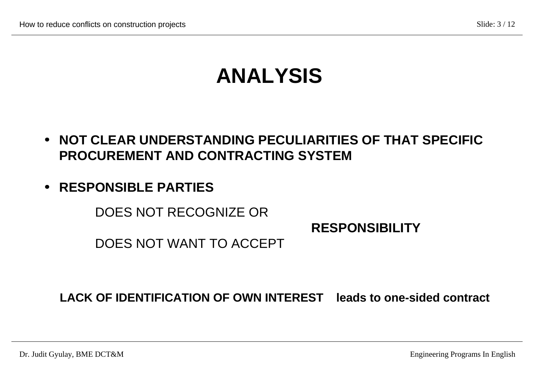### **ANALYSIS**

- **· NOT CLEAR UNDERSTANDING PECULIARITIES OF THAT SPECIFIC PROCUREMENT AND CONTRACTING SYSTEM**
- **· RESPONSIBLE PARTIES**

DOES NOT RECOGNIZE OR

 **RESPONSIBILITY**

DOES NOT WANT TO ACCEPT

 **LACK OF IDENTIFICATION OF OWN INTEREST leads to one-sided contract**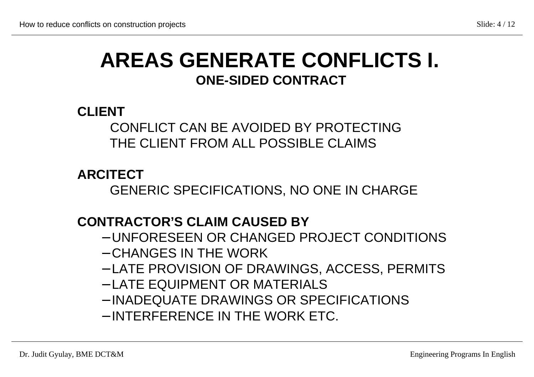### **AREAS GENERATE CONFLICTS I. ONE-SIDED CONTRACT**

#### **CLIENT**

#### CONFLICT CAN BE AVOIDED BY PROTECTING THE CLIENT FROM ALL POSSIBLE CLAIMS

**ARCITECT**

GENERIC SPECIFICATIONS, NO ONE IN CHARGE

#### **CONTRACTOR'S CLAIM CAUSED BY**

- − UNFORESEEN OR CHANGED PROJECT CONDITIONS
- − CHANGES IN THE WORK
- − LATE PROVISION OF DRAWINGS, ACCESS, PERMITS
- − LATE EQUIPMENT OR MATERIALS
- − INADEQUATE DRAWINGS OR SPECIFICATIONS
- − INTERFERENCE IN THE WORK ETC.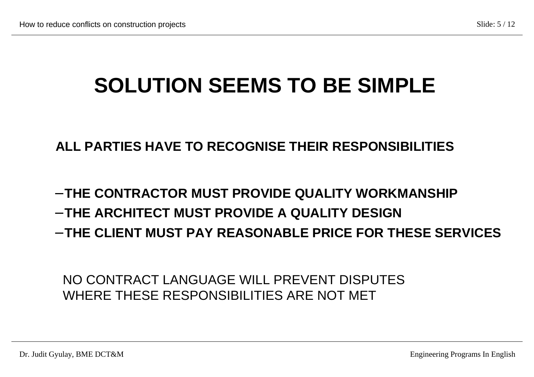## **SOLUTION SEEMS TO BE SIMPLE**

#### **ALL PARTIES HAVE TO RECOGNISE THEIR RESPONSIBILITIES**

- − **THE CONTRACTOR MUST PROVIDE QUALITY WORKMANSHIP**
- − **THE ARCHITECT MUST PROVIDE A QUALITY DESIGN**
- − **THE CLIENT MUST PAY REASONABLE PRICE FOR THESE SERVICES**

 NO CONTRACT LANGUAGE WILL PREVENT DISPUTES WHERE THESE RESPONSIBILITIES ARE NOT MET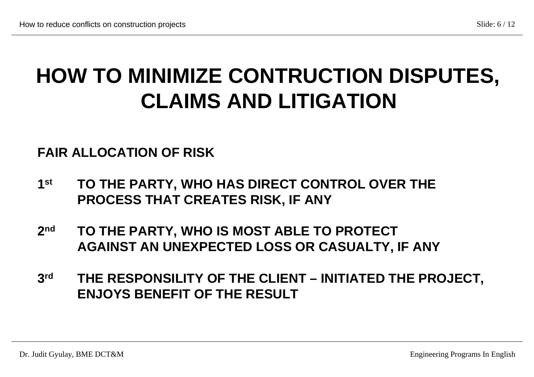## **HOW TO MINIMIZE CONTRUCTION DISPUTES, CLAIMS AND LITIGATION**

#### **FAIR ALLOCATION OF RISK**

- **1st TO THE PARTY, WHO HAS DIRECT CONTROL OVER THE PROCESS THAT CREATES RISK, IF ANY**
- **2nd TO THE PARTY, WHO IS MOST ABLE TO PROTECT AGAINST AN UNEXPECTED LOSS OR CASUALTY, IF ANY**
- **3rd THE RESPONSILITY OF THE CLIENT INITIATED THE PROJECT, ENJOYS BENEFIT OF THE RESULT**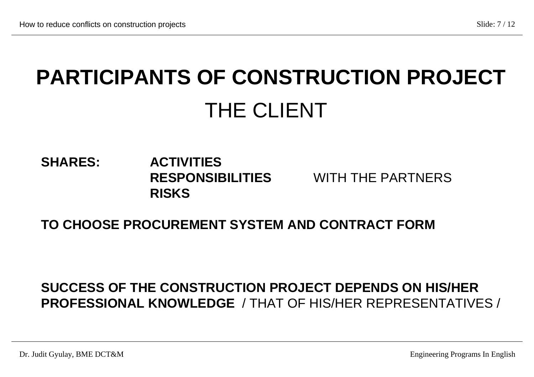# **PARTICIPANTS OF CONSTRUCTION PROJECT** THE CLIENT

#### **SHARES: ACTIVITIES RESPONSIBILITIES** WITH THE PARTNERS  **RISKS**

#### **TO CHOOSE PROCUREMENT SYSTEM AND CONTRACT FORM**

#### **SUCCESS OF THE CONSTRUCTION PROJECT DEPENDS ON HIS/HER PROFESSIONAL KNOWLEDGE** / THAT OF HIS/HER REPRESENTATIVES /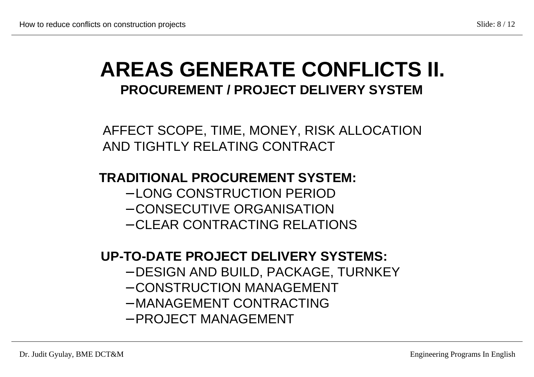### **AREAS GENERATE CONFLICTS II. PROCUREMENT / PROJECT DELIVERY SYSTEM**

AFFECT SCOPE, TIME, MONEY, RISK ALLOCATION AND TIGHTLY RELATING CONTRACT

#### **TRADITIONAL PROCUREMENT SYSTEM:**

- − LONG CONSTRUCTION PERIOD
- − CONSECUTIVE ORGANISATION
- − CLEAR CONTRACTING RELATIONS

#### **UP-TO-DATE PROJECT DELIVERY SYSTEMS:**

- − DESIGN AND BUILD, PACKAGE, TURNKEY
- − CONSTRUCTION MANAGEMENT
- − MANAGEMENT CONTRACTING
- − PROJECT MANAGEMENT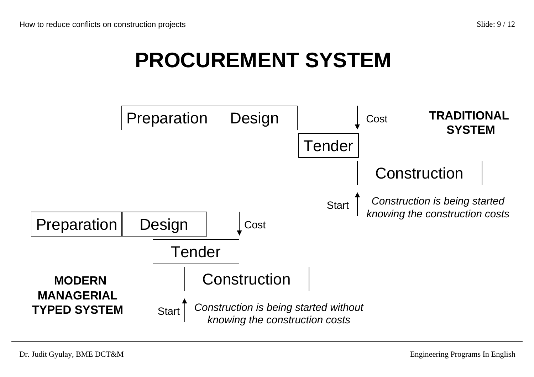### **PROCUREMENT SYSTEM**

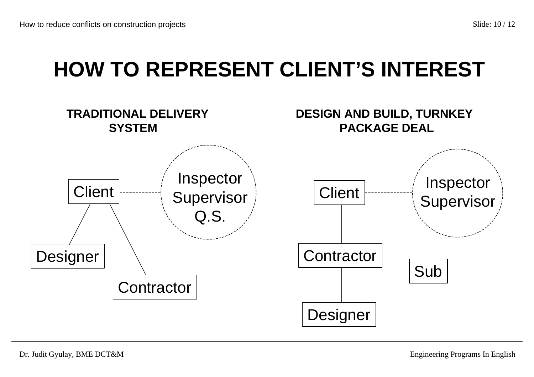## **HOW TO REPRESENT CLIENT'S INTEREST**

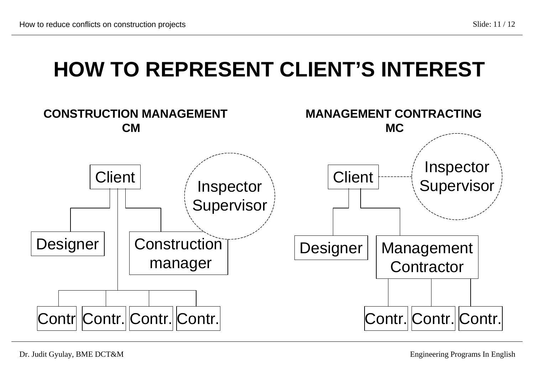### **HOW TO REPRESENT CLIENT'S INTEREST**



Dr. Judit Gyulay, BME DCT&M Engineering Programs In English